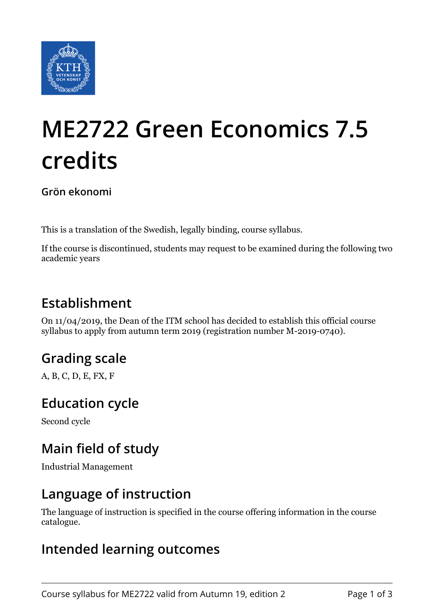

# **ME2722 Green Economics 7.5 credits**

**Grön ekonomi**

This is a translation of the Swedish, legally binding, course syllabus.

If the course is discontinued, students may request to be examined during the following two academic years

## **Establishment**

On 11/04/2019, the Dean of the ITM school has decided to establish this official course syllabus to apply from autumn term 2019 (registration number M-2019-0740).

## **Grading scale**

A, B, C, D, E, FX, F

### **Education cycle**

Second cycle

## **Main field of study**

Industrial Management

#### **Language of instruction**

The language of instruction is specified in the course offering information in the course catalogue.

#### **Intended learning outcomes**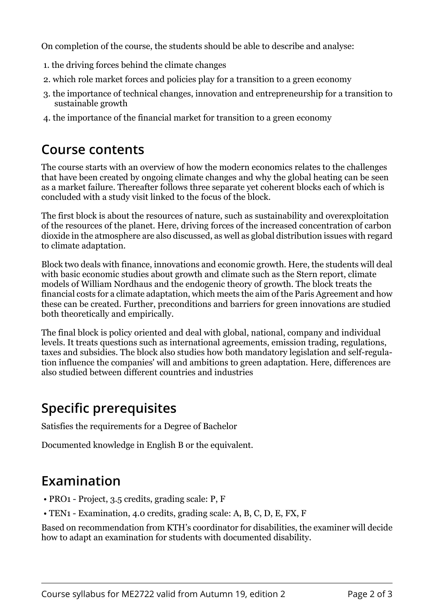On completion of the course, the students should be able to describe and analyse:

- 1. the driving forces behind the climate changes
- 2. which role market forces and policies play for a transition to a green economy
- 3. the importance of technical changes, innovation and entrepreneurship for a transition to sustainable growth
- 4. the importance of the financial market for transition to a green economy

#### **Course contents**

The course starts with an overview of how the modern economics relates to the challenges that have been created by ongoing climate changes and why the global heating can be seen as a market failure. Thereafter follows three separate yet coherent blocks each of which is concluded with a study visit linked to the focus of the block.

The first block is about the resources of nature, such as sustainability and overexploitation of the resources of the planet. Here, driving forces of the increased concentration of carbon dioxide in the atmosphere are also discussed, as well as global distribution issues with regard to climate adaptation.

Block two deals with finance, innovations and economic growth. Here, the students will deal with basic economic studies about growth and climate such as the Stern report, climate models of William Nordhaus and the endogenic theory of growth. The block treats the financial costs for a climate adaptation, which meets the aim of the Paris Agreement and how these can be created. Further, preconditions and barriers for green innovations are studied both theoretically and empirically.

The final block is policy oriented and deal with global, national, company and individual levels. It treats questions such as international agreements, emission trading, regulations, taxes and subsidies. The block also studies how both mandatory legislation and self-regulation influence the companies' will and ambitions to green adaptation. Here, differences are also studied between different countries and industries

## **Specific prerequisites**

Satisfies the requirements for a Degree of Bachelor

Documented knowledge in English B or the equivalent.

## **Examination**

- PRO1 Project, 3.5 credits, grading scale: P, F
- TEN1 Examination, 4.0 credits, grading scale: A, B, C, D, E, FX, F

Based on recommendation from KTH's coordinator for disabilities, the examiner will decide how to adapt an examination for students with documented disability.